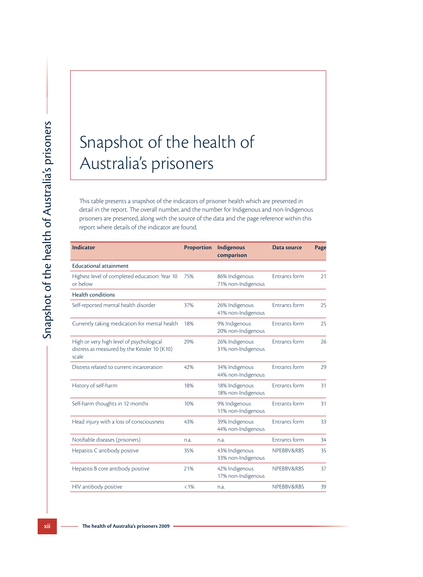## Snapshot of the health of Australia's prisoners

| Australia's prisoners                                                                                                                                                                                                                                                                                                                         |                   |                                      |               |
|-----------------------------------------------------------------------------------------------------------------------------------------------------------------------------------------------------------------------------------------------------------------------------------------------------------------------------------------------|-------------------|--------------------------------------|---------------|
| This table presents a snapshot of the indicators of prisoner health which are presented in<br>detail in the report. The overall number, and the number for Indigenous and non-Indigenous<br>prisoners are presented, along with the source of the data and the page reference within this<br>report where details of the indicator are found. |                   |                                      |               |
| <b>Indicator</b>                                                                                                                                                                                                                                                                                                                              | <b>Proportion</b> | Indigenous<br>comparison             | Data source   |
| <b>Educational attainment</b>                                                                                                                                                                                                                                                                                                                 |                   |                                      |               |
| Highest level of completed education: Year 10<br>or below                                                                                                                                                                                                                                                                                     | 75%               | 86% Indigenous<br>71% non-Indigenous | Entrants form |
| <b>Health conditions</b>                                                                                                                                                                                                                                                                                                                      |                   |                                      |               |
| Self-reported mental health disorder                                                                                                                                                                                                                                                                                                          | 37%               | 26% Indigenous<br>41% non-Indigenous | Entrants form |
| Currently taking medication for mental health                                                                                                                                                                                                                                                                                                 | 18%               | 9% Indigenous<br>20% non-Indigenous  | Entrants form |
| High or very high level of psychological<br>distress as measured by the Kessler 10 (K10)<br>scale                                                                                                                                                                                                                                             | 29%               | 26% Indigenous<br>31% non-Indigenous | Entrants form |
| Distress related to current incarceration                                                                                                                                                                                                                                                                                                     | 42%               | 34% Indigenous<br>44% non-Indigenous | Entrants form |
| History of self-harm                                                                                                                                                                                                                                                                                                                          | 18%               | 18% Indigenous<br>18% non-Indigenous | Entrants form |
| Self-harm thoughts in 12 months                                                                                                                                                                                                                                                                                                               | 10%               | 9% Indigenous<br>11% non-Indigenous  | Entrants form |
| Head injury with a loss of consciousness                                                                                                                                                                                                                                                                                                      | 43%               | 39% Indigenous<br>44% non-Indigenous | Entrants form |
| Notifiable diseases (prisoners)                                                                                                                                                                                                                                                                                                               | n.a.              | n.a.                                 | Entrants form |
| Hepatitis C antibody positive                                                                                                                                                                                                                                                                                                                 | 35%               | 43% Indigenous<br>33% non-Indigenous | NPEBBV&RBS    |
| Hepatitis B core antibody positive                                                                                                                                                                                                                                                                                                            | 21%               | 42% Indigenous<br>17% non-Indigenous | NPEBBV&RBS    |
| HIV antibody positive                                                                                                                                                                                                                                                                                                                         | $< 1\%$           | n.a.                                 | NPEBBV&RBS    |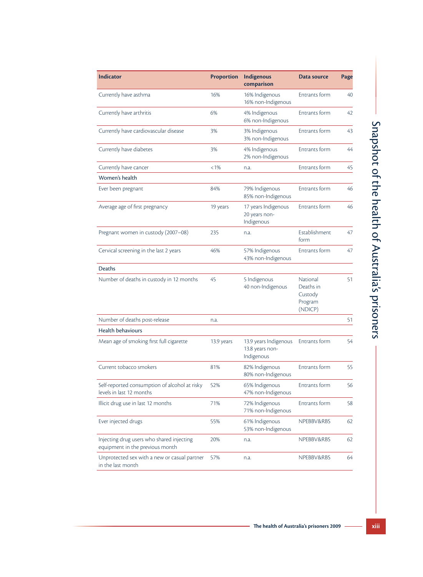| <b>Indicator</b>                                                             | <b>Proportion</b><br>Indigenous<br>comparison |                                                        |                                                        |    | Data source | Page |
|------------------------------------------------------------------------------|-----------------------------------------------|--------------------------------------------------------|--------------------------------------------------------|----|-------------|------|
| Currently have asthma                                                        | 16%                                           | 16% Indigenous<br>16% non-Indigenous                   | Entrants form                                          | 40 |             |      |
| Currently have arthritis                                                     | 6%                                            | 4% Indigenous<br>6% non-Indigenous                     | Entrants form                                          | 42 |             |      |
| Currently have cardiovascular disease                                        | 3%                                            | 3% Indigenous<br>3% non-Indigenous                     | Entrants form                                          | 43 |             |      |
| Currently have diabetes                                                      | 3%                                            | 4% Indigenous<br>2% non-Indigenous                     | Entrants form                                          | 44 |             |      |
| Currently have cancer                                                        | $< 1\%$                                       | n.a.                                                   | Entrants form                                          | 45 |             |      |
| Women's health                                                               |                                               |                                                        |                                                        |    |             |      |
| Ever been pregnant                                                           | 84%                                           | 79% Indigenous<br>85% non-Indigenous                   | Entrants form                                          | 46 |             |      |
| Average age of first pregnancy                                               | 19 years                                      | 17 years Indigenous<br>20 years non-<br>Indigenous     | Entrants form                                          | 46 |             |      |
| Pregnant women in custody (2007-08)                                          | 235                                           | n.a.                                                   | Establishment<br>form                                  | 47 |             |      |
| Cervical screening in the last 2 years                                       | 46%                                           | 57% Indigenous<br>43% non-Indigenous                   | Entrants form                                          | 47 |             |      |
| Deaths                                                                       |                                               |                                                        |                                                        |    |             |      |
| Number of deaths in custody in 12 months                                     | 45                                            | 5 Indigenous<br>40 non-Indigenous                      | National<br>Deaths in<br>Custody<br>Program<br>(NDICP) | 51 |             |      |
| Number of deaths post-release                                                | n.a.                                          |                                                        |                                                        | 51 |             |      |
| Health behaviours                                                            |                                               |                                                        |                                                        |    |             |      |
| Mean age of smoking first full cigarette                                     | 13.9 years                                    | 13.9 years Indigenous<br>13.8 years non-<br>Indigenous | Entrants form                                          | 54 |             |      |
| Current tobacco smokers                                                      | 81%                                           | 82% Indigenous<br>80% non-Indigenous                   | Entrants form                                          | 55 |             |      |
| Self-reported consumption of alcohol at risky<br>levels in last 12 months    | 52%                                           | 65% Indigenous<br>47% non-Indigenous                   | Entrants form                                          | 56 |             |      |
| Illicit drug use in last 12 months                                           | 71%                                           | 72% Indigenous<br>71% non-Indigenous                   | Entrants form                                          | 58 |             |      |
| Ever injected drugs                                                          | 55%                                           | 61% Indigenous<br>53% non-Indigenous                   | NPEBBV&RBS                                             | 62 |             |      |
| Injecting drug users who shared injecting<br>equipment in the previous month | 20%                                           | n.a.                                                   | NPEBBV&RBS                                             | 62 |             |      |
|                                                                              | 57%                                           | n.a.                                                   | NPEBBV&RBS                                             | 64 |             |      |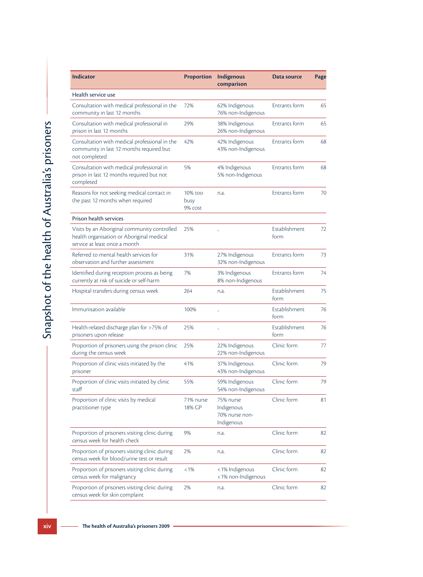| Indicator                                                                                                                  | <b>Proportion</b>          | Indigenous<br>comparison                                | Data source           |  |
|----------------------------------------------------------------------------------------------------------------------------|----------------------------|---------------------------------------------------------|-----------------------|--|
| Health service use                                                                                                         |                            |                                                         |                       |  |
| Consultation with medical professional in the<br>community in last 12 months                                               | 72%                        | 62% Indigenous<br>76% non-Indigenous                    | Entrants form         |  |
| Consultation with medical professional in<br>prison in last 12 months                                                      | 29%                        | 38% Indigenous<br>26% non-Indigenous                    | Entrants form         |  |
| Consultation with medical professional in the<br>community in last 12 months required but<br>not completed                 | 42%                        | 42% Indigenous<br>43% non-Indigenous                    | Entrants form         |  |
| Consultation with medical professional in<br>prison in last 12 months required but not<br>completed                        | 5%                         | 4% Indigenous<br>5% non-Indigenous                      | Entrants form         |  |
| Reasons for not seeking medical contact in<br>the past 12 months when required                                             | 10% too<br>busy<br>9% cost | n.a.                                                    | Entrants form         |  |
| Prison health services                                                                                                     |                            |                                                         |                       |  |
| Visits by an Aboriginal community controlled<br>health organisation or Aboriginal medical<br>service at least once a month | 25%                        |                                                         | Establishment<br>form |  |
| Referred to mental health services for<br>observation and further assessment                                               | 31%                        | 27% Indigenous<br>32% non-Indigenous                    | Entrants form         |  |
| Identified during reception process as being<br>currently at risk of suicide or self-harm                                  | 7%                         | 3% Indigenous<br>8% non-Indigenous                      | Entrants form         |  |
| Hospital transfers during census week                                                                                      | 264                        | n.a.                                                    | Establishment<br>form |  |
| Immunisation available                                                                                                     | 100%                       |                                                         | Establishment<br>form |  |
| Health-related discharge plan for >75% of<br>prisoners upon release                                                        | 25%                        |                                                         | Establishment<br>form |  |
| Proportion of prisoners using the prison clinic<br>during the census week                                                  | 25%                        | 22% Indigenous<br>22% non-Indigenous                    | Clinic form           |  |
| Proportion of clinic visits initiated by the<br>prisoner                                                                   | 41%                        | 37% Indigenous<br>43% non-Indigenous                    | Clinic form           |  |
| Proportion of clinic visits initiated by clinic<br>staff                                                                   | 55%                        | 59% Indigenous<br>54% non-Indigenous                    | Clinic form           |  |
| Proportion of clinic visits by medical<br>practitioner type                                                                | 71% nurse<br>18% GP        | 75% nurse<br>Indigenous<br>70% nurse non-<br>Indigenous | Clinic form           |  |
| Proportion of prisoners visiting clinic during<br>census week for health check                                             | 9%                         | n.a.                                                    | Clinic form           |  |
| Proportion of prisoners visiting clinic during<br>census week for blood/urine test or result                               | 2%                         | n.a.                                                    | Clinic form           |  |
| Proportion of prisoners visiting clinic during<br>census week for malignancy                                               | $< 1\%$                    | <1% Indigenous<br><1% non-Indigenous                    | Clinic form           |  |
| Proportion of prisoners visiting clinic during<br>census week for skin complaint                                           | 2%                         | n.a.                                                    | Clinic form           |  |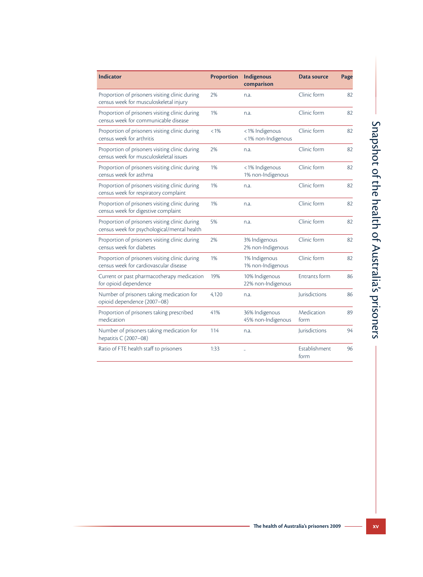| <b>Indicator</b>                                                                              | <b>Proportion</b> | Indigenous<br>comparison                 | Data source           | Page |
|-----------------------------------------------------------------------------------------------|-------------------|------------------------------------------|-----------------------|------|
| Proportion of prisoners visiting clinic during<br>census week for musculoskeletal injury      | 2%                | n.a.                                     | Clinic form           | 82   |
| Proportion of prisoners visiting clinic during<br>census week for communicable disease        | 1%                | n.a.                                     | Clinic form           | 82   |
| Proportion of prisoners visiting clinic during<br>census week for arthritis                   | $< 1\%$           | <1% Indigenous<br><1% non-Indigenous     | Clinic form           | 82   |
| Proportion of prisoners visiting clinic during<br>census week for musculoskeletal issues      | 2%                | n.a.                                     | Clinic form           | 82   |
| Proportion of prisoners visiting clinic during<br>census week for asthma                      | 1%                | <1% Indigenous<br>1% non-Indigenous      | Clinic form           | 82   |
| Proportion of prisoners visiting clinic during<br>census week for respiratory complaint       | 1%                | n.a.                                     | Clinic form           | 82   |
| Proportion of prisoners visiting clinic during<br>census week for digestive complaint         | 1%                | n.a.                                     | Clinic form           | 82   |
| Proportion of prisoners visiting clinic during<br>census week for psychological/mental health | 5%                | n.a.                                     | Clinic form           | 82   |
| Proportion of prisoners visiting clinic during<br>census week for diabetes                    | 2%                | 3% Indigenous<br>2% non-Indigenous       | Clinic form           | 82   |
| Proportion of prisoners visiting clinic during<br>census week for cardiovascular disease      | 1%                | 1% Indigenous<br>1% non-Indigenous       | Clinic form           | 82   |
| Current or past pharmacotherapy medication<br>for opioid dependence                           | 19%               | 10% Indigenous<br>22% non-Indigenous     | Entrants form         | 86   |
| Number of prisoners taking medication for<br>opioid dependence (2007-08)                      | 4,120             | n.a.                                     | Jurisdictions         | 86   |
| Proportion of prisoners taking prescribed<br>medication                                       | 41%               | 36% Indigenous<br>45% non-Indigenous     | Medication<br>form    | 89   |
| Number of prisoners taking medication for<br>hepatitis C (2007-08)                            | 114               | n.a.                                     | Jurisdictions         | 94   |
| Ratio of FTE health staff to prisoners                                                        | 1:33              |                                          | Establishment<br>form | 96   |
|                                                                                               |                   |                                          |                       |      |
|                                                                                               |                   | The health of Australia's prisoners 2009 |                       |      |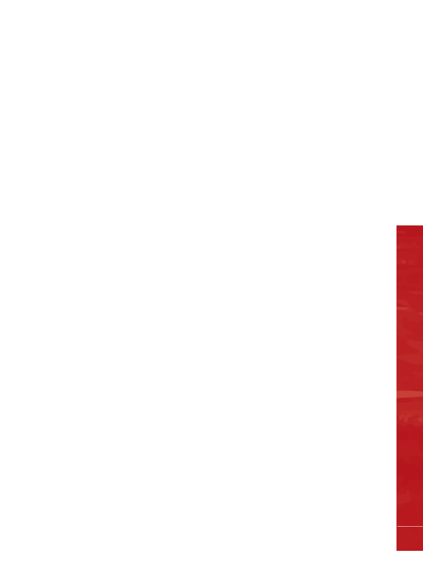**College**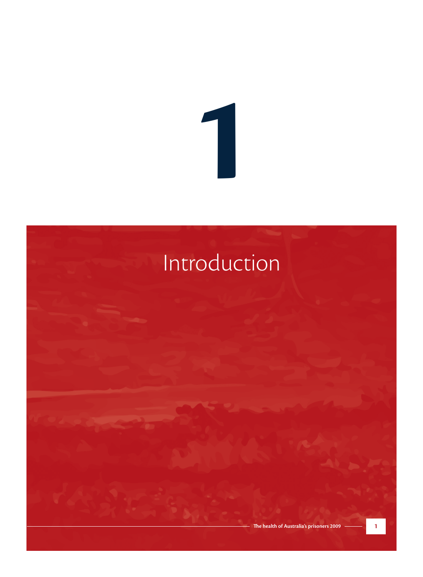# **1**

# Introduction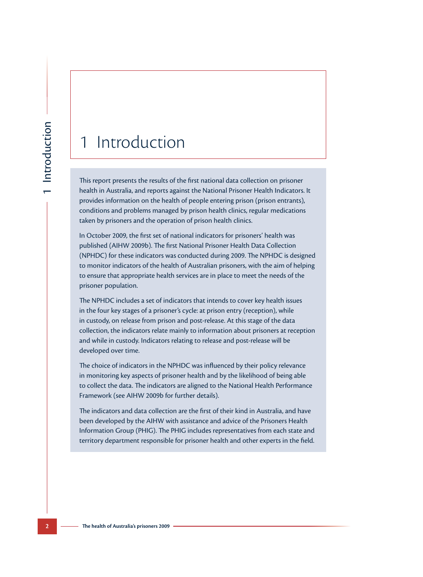### 1 Introduction

This report presents the results of the first national data collection on prisoner health in Australia, and reports against the National Prisoner Health Indicators. It provides information on the health of people entering prison (prison entrants), conditions and problems managed by prison health clinics, regular medications taken by prisoners and the operation of prison health clinics.

In October 2009, the first set of national indicators for prisoners' health was published (AIHW 2009b). The first National Prisoner Health Data Collection (NPHDC) for these indicators was conducted during 2009. The NPHDC is designed to monitor indicators of the health of Australian prisoners, with the aim of helping to ensure that appropriate health services are in place to meet the needs of the prisoner population.

The NPHDC includes a set of indicators that intends to cover key health issues in the four key stages of a prisoner's cycle: at prison entry (reception), while in custody, on release from prison and post-release. At this stage of the data collection, the indicators relate mainly to information about prisoners at reception and while in custody. Indicators relating to release and post-release will be developed over time.

The choice of indicators in the NPHDC was influenced by their policy relevance in monitoring key aspects of prisoner health and by the likelihood of being able to collect the data. The indicators are aligned to the National Health Performance Framework (see AIHW 2009b for further details).

The indicators and data collection are the first of their kind in Australia, and have been developed by the AIHW with assistance and advice of the Prisoners Health Information Group (PHIG). The PHIG includes representatives from each state and territory department responsible for prisoner health and other experts in the field.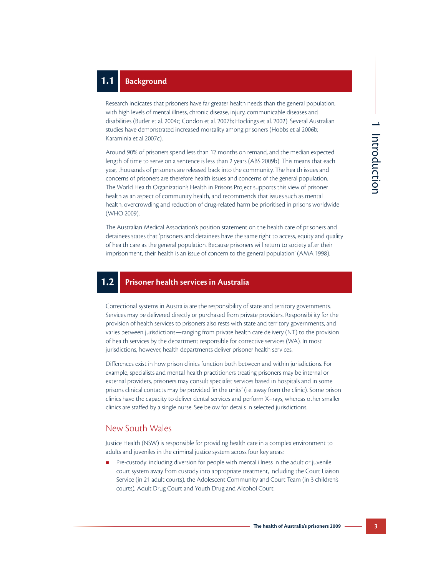#### **1.1 Background**

Research indicates that prisoners have far greater health needs than the general population, with high levels of mental illness, chronic disease, injury, communicable diseases and disabilities (Butler et al. 2004c; Condon et al. 2007b; Hockings et al. 2002). Several Australian studies have demonstrated increased mortality among prisoners (Hobbs et al 2006b; Karaminia et al 2007c).

Around 90% of prisoners spend less than 12 months on remand, and the median expected length of time to serve on a sentence is less than 2 years (ABS 2009b). This means that each year, thousands of prisoners are released back into the community. The health issues and concerns of prisoners are therefore health issues and concerns of the general population. The World Health Organization's Health in Prisons Project supports this view of prisoner health as an aspect of community health, and recommends that issues such as mental health, overcrowding and reduction of drug-related harm be prioritised in prisons worldwide (WHO 2009).

The Australian Medical Association's position statement on the health care of prisoners and detainees states that 'prisoners and detainees have the same right to access, equity and quality of health care as the general population. Because prisoners will return to society after their imprisonment, their health is an issue of concern to the general population' (AMA 1998).

#### **1.2 Prisoner health services in Australia**

Correctional systems in Australia are the responsibility of state and territory governments. Services may be delivered directly or purchased from private providers. Responsibility for the provision of health services to prisoners also rests with state and territory governments, and varies between jurisdictions—ranging from private health care delivery (NT) to the provision of health services by the department responsible for corrective services (WA). In most jurisdictions, however, health departments deliver prisoner health services.

Differences exist in how prison clinics function both between and within jurisdictions. For example, specialists and mental health practitioners treating prisoners may be internal or external providers, prisoners may consult specialist services based in hospitals and in some prisons clinical contacts may be provided 'in the units' (i.e. away from the clinic). Some prison clinics have the capacity to deliver dental services and perform X–rays, whereas other smaller clinics are staffed by a single nurse. See below for details in selected jurisdictions.

#### New South Wales

Justice Health (NSW) is responsible for providing health care in a complex environment to adults and juveniles in the criminal justice system across four key areas:

Pre-custody: including diversion for people with mental illness in the adult or juvenile court system away from custody into appropriate treatment, including the Court Liaison Service (in 21 adult courts), the Adolescent Community and Court Team (in 3 children's courts), Adult Drug Court and Youth Drug and Alcohol Court.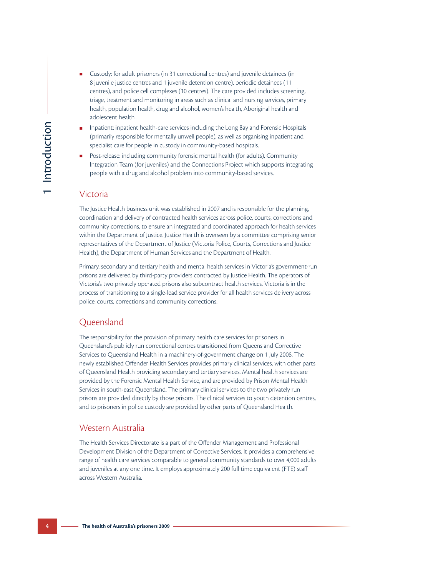- Custody: for adult prisoners (in 31 correctional centres) and juvenile detainees (in 8 juvenile justice centres and 1 juvenile detention centre), periodic detainees (11 centres), and police cell complexes (10 centres). The care provided includes screening, triage, treatment and monitoring in areas such as clinical and nursing services, primary health, population health, drug and alcohol, women's health, Aboriginal health and adolescent health.
- **EXECT:** Inpatient: inpatient health-care services including the Long Bay and Forensic Hospitals (primarily responsible for mentally unwell people), as well as organising inpatient and specialist care for people in custody in community-based hospitals.
- Post-release: including community forensic mental health (for adults), Community Integration Team (for juveniles) and the Connections Project which supports integrating people with a drug and alcohol problem into community-based services.

#### Victoria

The Justice Health business unit was established in 2007 and is responsible for the planning, coordination and delivery of contracted health services across police, courts, corrections and community corrections, to ensure an integrated and coordinated approach for health services within the Department of Justice. Justice Health is overseen by a committee comprising senior representatives of the Department of Justice (Victoria Police, Courts, Corrections and Justice Health), the Department of Human Services and the Department of Health.

Primary, secondary and tertiary health and mental health services in Victoria's government-run prisons are delivered by third-party providers contracted by Justice Health. The operators of Victoria's two privately operated prisons also subcontract health services. Victoria is in the process of transitioning to a single-lead service provider for all health services delivery across police, courts, corrections and community corrections.

#### Queensland

The responsibility for the provision of primary health care services for prisoners in Queensland's publicly run correctional centres transitioned from Queensland Corrective Services to Queensland Health in a machinery-of-government change on 1 July 2008. The newly established Offender Health Services provides primary clinical services, with other parts of Queensland Health providing secondary and tertiary services. Mental health services are provided by the Forensic Mental Health Service, and are provided by Prison Mental Health Services in south-east Queensland. The primary clinical services to the two privately run prisons are provided directly by those prisons. The clinical services to youth detention centres, and to prisoners in police custody are provided by other parts of Queensland Health.

#### Western Australia

The Health Services Directorate is a part of the Offender Management and Professional Development Division of the Department of Corrective Services. It provides a comprehensive range of health care services comparable to general community standards to over 4,000 adults and juveniles at any one time. It employs approximately 200 full time equivalent (FTE) staff across Western Australia.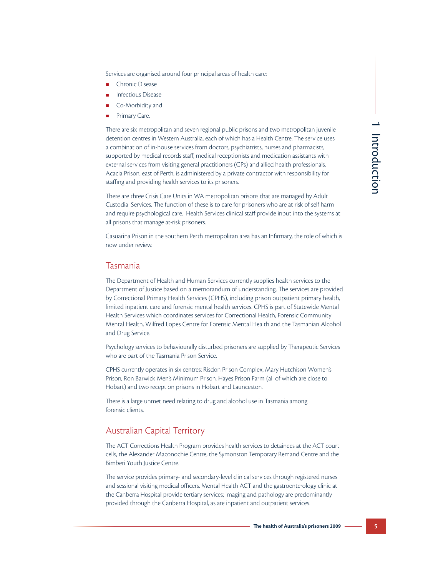Services are organised around four principal areas of health care:

- **Chronic Disease**
- **Infectious Disease**
- Co-Morbidity and
- Primary Care.

There are six metropolitan and seven regional public prisons and two metropolitan juvenile detention centres in Western Australia, each of which has a Health Centre. The service uses a combination of in-house services from doctors, psychiatrists, nurses and pharmacists, supported by medical records staff, medical receptionists and medication assistants with external services from visiting general practitioners (GPs) and allied health professionals. Acacia Prison, east of Perth, is administered by a private contractor with responsibility for staffing and providing health services to its prisoners.

There are three Crisis Care Units in WA metropolitan prisons that are managed by Adult Custodial Services. The function of these is to care for prisoners who are at risk of self harm and require psychological care. Health Services clinical staff provide input into the systems at all prisons that manage at-risk prisoners.

Casuarina Prison in the southern Perth metropolitan area has an Infirmary, the role of which is now under review.

#### Tasmania

The Department of Health and Human Services currently supplies health services to the Department of Justice based on a memorandum of understanding. The services are provided by Correctional Primary Health Services (CPHS), including prison outpatient primary health, limited inpatient care and forensic mental health services. CPHS is part of Statewide Mental Health Services which coordinates services for Correctional Health, Forensic Community Mental Health, Wilfred Lopes Centre for Forensic Mental Health and the Tasmanian Alcohol and Drug Service.

Psychology services to behaviourally disturbed prisoners are supplied by Therapeutic Services who are part of the Tasmania Prison Service.

CPHS currently operates in six centres: Risdon Prison Complex, Mary Hutchison Women's Prison, Ron Barwick Men's Minimum Prison, Hayes Prison Farm (all of which are close to Hobart) and two reception prisons in Hobart and Launceston.

There is a large unmet need relating to drug and alcohol use in Tasmania among forensic clients.

#### Australian Capital Territory

The ACT Corrections Health Program provides health services to detainees at the ACT court cells, the Alexander Maconochie Centre, the Symonston Temporary Remand Centre and the Bimberi Youth Justice Centre.

The service provides primary- and secondary-level clinical services through registered nurses and sessional visiting medical officers. Mental Health ACT and the gastroenterology clinic at the Canberra Hospital provide tertiary services; imaging and pathology are predominantly provided through the Canberra Hospital, as are inpatient and outpatient services.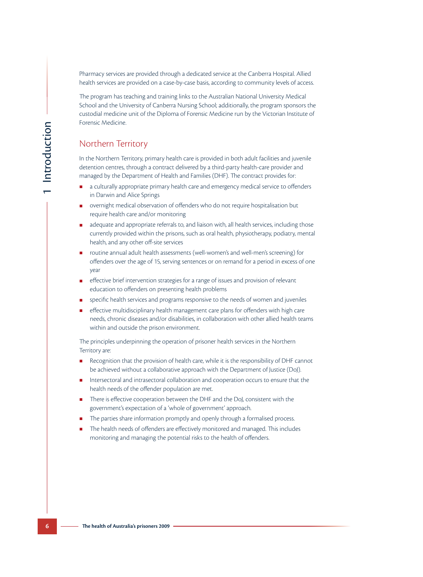Pharmacy services are provided through a dedicated service at the Canberra Hospital. Allied health services are provided on a case-by-case basis, according to community levels of access.

The program has teaching and training links to the Australian National University Medical School and the University of Canberra Nursing School; additionally, the program sponsors the custodial medicine unit of the Diploma of Forensic Medicine run by the Victorian Institute of Forensic Medicine.

#### Northern Territory

In the Northern Territory, primary health care is provided in both adult facilities and juvenile detention centres, through a contract delivered by a third-party health-care provider and managed by the Department of Health and Families (DHF). The contract provides for:

- a culturally appropriate primary health care and emergency medical service to offenders in Darwin and Alice Springs
- overnight medical observation of offenders who do not require hospitalisation but require health care and/or monitoring
- adequate and appropriate referrals to, and liaison with, all health services, including those currently provided within the prisons, such as oral health, physiotherapy, podiatry, mental health, and any other off-site services
- routine annual adult health assessments (well-women's and well-men's screening) for offenders over the age of 15, serving sentences or on remand for a period in excess of one year
- effective brief intervention strategies for a range of issues and provision of relevant education to offenders on presenting health problems
- specific health services and programs responsive to the needs of women and juveniles
- effective multidisciplinary health management care plans for offenders with high care needs, chronic diseases and/or disabilities, in collaboration with other allied health teams within and outside the prison environment.

The principles underpinning the operation of prisoner health services in the Northern Territory are:

- Recognition that the provision of health care, while it is the responsibility of DHF cannot be achieved without a collaborative approach with the Department of Justice (DoJ).
- Intersectoral and intrasectoral collaboration and cooperation occurs to ensure that the health needs of the offender population are met.
- There is effective cooperation between the DHF and the DoJ, consistent with the government's expectation of a 'whole of government' approach.
- The parties share information promptly and openly through a formalised process.
- The health needs of offenders are effectively monitored and managed. This includes monitoring and managing the potential risks to the health of offenders.

 $\overline{ }$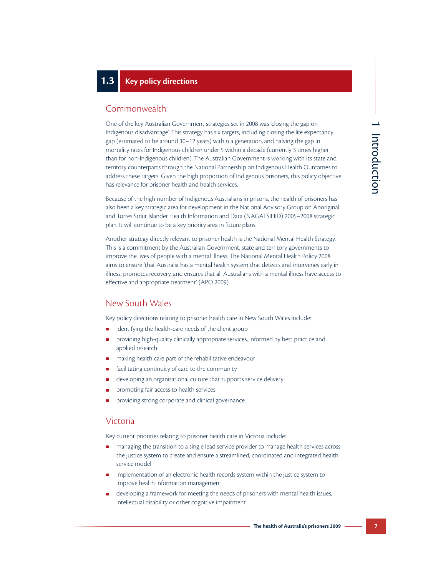#### **1.3 Key policy directions**

#### **Commonwealth**

One of the key Australian Government strategies set in 2008 was 'closing the gap on Indigenous disadvantage'. This strategy has six targets, including closing the life expectancy gap (estimated to be around 10–12 years) within a generation, and halving the gap in mortality rates for Indigenous children under 5 within a decade (currently 3 times higher than for non-Indigenous children). The Australian Government is working with its state and territory counterparts through the National Partnership on Indigenous Health Outcomes to address these targets. Given the high proportion of Indigenous prisoners, this policy objective has relevance for prisoner health and health services.

Because of the high number of Indigenous Australians in prisons, the health of prisoners has also been a key strategic area for development in the National Advisory Group on Aboriginal and Torres Strait Islander Health Information and Data (NAGATSIHID) 2005–2008 strategic plan. It will continue to be a key priority area in future plans.

Another strategy directly relevant to prisoner health is the National Mental Health Strategy. This is a commitment by the Australian Government, state and territory governments to improve the lives of people with a mental illness. The National Mental Health Policy 2008 aims to ensure 'that Australia has a mental health system that detects and intervenes early in illness, promotes recovery, and ensures that all Australians with a mental illness have access to effective and appropriate treatment' (APO 2009).

#### New South Wales

Key policy directions relating to prisoner health care in New South Wales include:

- identifying the health-care needs of the client group
- providing high-quality clinically appropriate services, informed by best practice and applied research
- making health care part of the rehabilitative endeavour
- facilitating continuity of care to the community
- developing an organisational culture that supports service delivery
- promoting fair access to health services
- providing strong corporate and clinical governance.

#### Victoria

Key current priorities relating to prisoner health care in Victoria include:

- managing the transition to a single lead service provider to manage health services across the justice system to create and ensure a streamlined, coordinated and integrated health service model
- implementation of an electronic health records system within the justice system to improve health information management
- developing a framework for meeting the needs of prisoners with mental health issues, intellectual disability or other cognitive impairment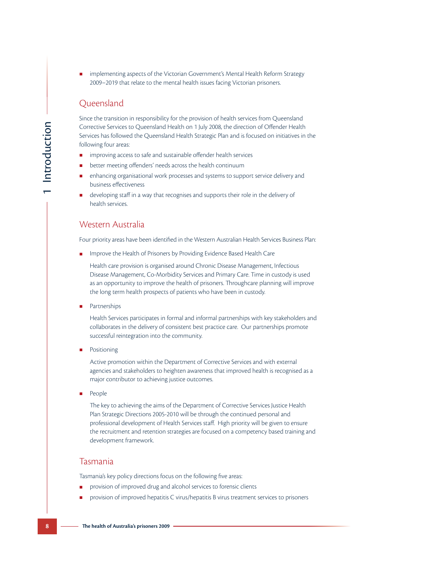implementing aspects of the Victorian Government's Mental Health Reform Strategy 2009–2019 that relate to the mental health issues facing Victorian prisoners.

#### Queensland

Since the transition in responsibility for the provision of health services from Queensland Corrective Services to Queensland Health on 1 July 2008, the direction of Offender Health Services has followed the Queensland Health Strategic Plan and is focused on initiatives in the following four areas:

- **EXECUTE:** improving access to safe and sustainable offender health services
- **E** better meeting offenders' needs across the health continuum
- enhancing organisational work processes and systems to support service delivery and business effectiveness
- **EXECT** developing staff in a way that recognises and supports their role in the delivery of health services.

#### Western Australia

Four priority areas have been identified in the Western Australian Health Services Business Plan:

Improve the Health of Prisoners by Providing Evidence Based Health Care

Health care provision is organised around Chronic Disease Management, Infectious Disease Management, Co-Morbidity Services and Primary Care. Time in custody is used as an opportunity to improve the health of prisoners. Throughcare planning will improve the long term health prospects of patients who have been in custody.

Partnerships

Health Services participates in formal and informal partnerships with key stakeholders and collaborates in the delivery of consistent best practice care. Our partnerships promote successful reintegration into the community.

Positioning

Active promotion within the Department of Corrective Services and with external agencies and stakeholders to heighten awareness that improved health is recognised as a major contributor to achieving justice outcomes.

**People** 

The key to achieving the aims of the Department of Corrective Services Justice Health Plan Strategic Directions 2005-2010 will be through the continued personal and professional development of Health Services staff. High priority will be given to ensure the recruitment and retention strategies are focused on a competency based training and development framework.

#### Tasmania

Tasmania's key policy directions focus on the following five areas:

- provision of improved drug and alcohol services to forensic clients
- **Physion of improved hepatitis C virus/hepatitis B virus treatment services to prisoners**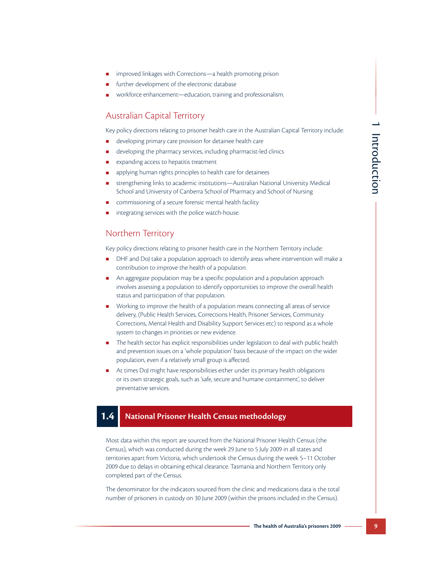- improved linkages with Corrections—a health promoting prison
- further development of the electronic database
- workforce enhancement—education, training and professionalism.

#### Australian Capital Territory

Key policy directions relating to prisoner health care in the Australian Capital Territory include:

- developing primary care provision for detainee health care
- developing the pharmacy services, including pharmacist-led clinics
- expanding access to hepatitis treatment
- applying human rights principles to health care for detainees
- strengthening links to academic institutions—Australian National University Medical School and University of Canberra School of Pharmacy and School of Nursing
- commissioning of a secure forensic mental health facility
- integrating services with the police watch-house.

#### Northern Territory

Key policy directions relating to prisoner health care in the Northern Territory include:

- DHF and DoJ take a population approach to identify areas where intervention will make a contribution to improve the health of a population.
- An aggregate population may be a specific population and a population approach involves assessing a population to identify opportunities to improve the overall health status and participation of that population.
- Working to improve the health of a population means connecting all areas of service delivery, (Public Health Services, Corrections Health, Prisoner Services, Community Corrections, Mental Health and Disability Support Services etc) to respond as a whole system to changes in priorities or new evidence.
- **The health sector has explicit responsibilities under legislation to deal with public health** and prevention issues on a 'whole population' basis because of the impact on the wider population, even if a relatively small group is affected.
- At times DoJ might have responsibilities either under its primary health obligations or its own strategic goals, such as 'safe, secure and humane containment', to deliver preventative services.

#### **1.4 National Prisoner Health Census methodology**

Most data within this report are sourced from the National Prisoner Health Census (the Census), which was conducted during the week 29 June to 5 July 2009 in all states and territories apart from Victoria, which undertook the Census during the week 5–11 October 2009 due to delays in obtaining ethical clearance. Tasmania and Northern Territory only completed part of the Census.

The denominator for the indicators sourced from the clinic and medications data is the total number of prisoners in custody on 30 June 2009 (within the prisons included in the Census).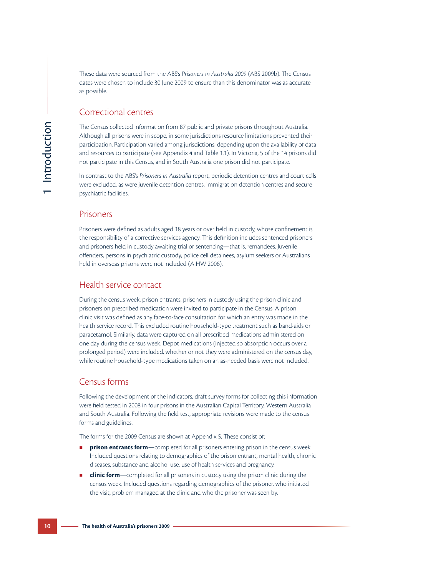These data were sourced from the ABS's *Prisoners in Australia 2009* (ABS 2009b). The Census dates were chosen to include 30 June 2009 to ensure than this denominator was as accurate as possible.

#### Correctional centres

The Census collected information from 87 public and private prisons throughout Australia. Although all prisons were in scope, in some jurisdictions resource limitations prevented their participation. Participation varied among jurisdictions, depending upon the availability of data and resources to participate (see Appendix 4 and Table 1.1). In Victoria, 5 of the 14 prisons did not participate in this Census, and in South Australia one prison did not participate.

In contrast to the ABS's *Prisoners in Australia* report, periodic detention centres and court cells were excluded, as were juvenile detention centres, immigration detention centres and secure psychiatric facilities.

#### Prisoners

Prisoners were defined as adults aged 18 years or over held in custody, whose confinement is the responsibility of a corrective services agency. This definition includes sentenced prisoners and prisoners held in custody awaiting trial or sentencing—that is, remandees. Juvenile offenders, persons in psychiatric custody, police cell detainees, asylum seekers or Australians held in overseas prisons were not included (AIHW 2006).

#### Health service contact

During the census week, prison entrants, prisoners in custody using the prison clinic and prisoners on prescribed medication were invited to participate in the Census. A prison clinic visit was defined as any face-to-face consultation for which an entry was made in the health service record. This excluded routine household-type treatment such as band-aids or paracetamol. Similarly, data were captured on all prescribed medications administered on one day during the census week. Depot medications (injected so absorption occurs over a prolonged period) were included, whether or not they were administered on the census day, while routine household-type medications taken on an as-needed basis were not included.

#### Census forms

Following the development of the indicators, draft survey forms for collecting this information were field tested in 2008 in four prisons in the Australian Capital Territory, Western Australia and South Australia. Following the field test, appropriate revisions were made to the census forms and guidelines.

The forms for the 2009 Census are shown at Appendix 5. These consist of:

- **prison entrants form**—completed for all prisoners entering prison in the census week. Included questions relating to demographics of the prison entrant, mental health, chronic diseases, substance and alcohol use, use of health services and pregnancy.
- **clinic form**—completed for all prisoners in custody using the prison clinic during the census week. Included questions regarding demographics of the prisoner, who initiated the visit, problem managed at the clinic and who the prisoner was seen by.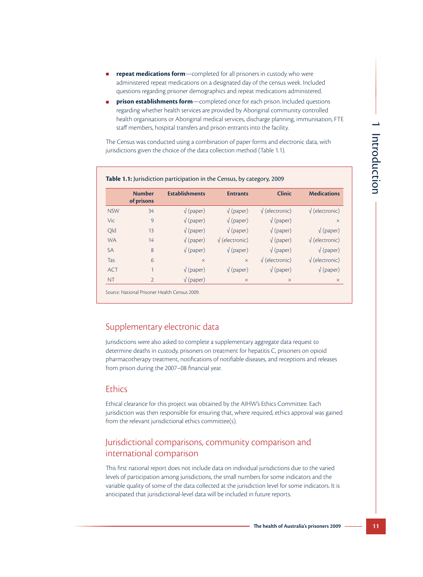- **repeat medications form**—completed for all prisoners in custody who were administered repeat medications on a designated day of the census week. Included questions regarding prisoner demographics and repeat medications administered.
- **prison establishments form**—completed once for each prison. Included questions regarding whether health services are provided by Aboriginal community controlled health organisations or Aboriginal medical services, discharge planning, immunisation, FTE staff members, hospital transfers and prison entrants into the facility.

The Census was conducted using a combination of paper forms and electronic data, with jurisdictions given the choice of the data collection method (Table 1.1).

|            | <b>Number</b><br>of prisons | <b>Establishments</b> | <b>Entrants</b>              | <b>Clinic</b>                | <b>Medications</b>           |
|------------|-----------------------------|-----------------------|------------------------------|------------------------------|------------------------------|
| <b>NSW</b> | 34                          | $\sqrt{p_{aper}}$     | $\sqrt{p_{aper}}$            | $\sqrt{\text{(electronic)}}$ | $\sqrt{$ (electronic)        |
| <b>Vic</b> | 9                           | $\sqrt{p_{aper}}$     | $\sqrt{p^2}$ (paper)         | $\sqrt{p_{aper}}$            | $\times$                     |
| Qld        | 13                          | $\sqrt{p_{aper}}$     | $\sqrt{p^2}$ (paper)         | $\sqrt{p}$ (paper)           | $\sqrt{p_{aper}}$            |
| <b>WA</b>  | 14                          | $\sqrt{p_{aper}}$     | $\sqrt{\text{(electronic)}}$ | $\sqrt{p^2}$ (paper)         | $\sqrt{}$ (electronic)       |
| <b>SA</b>  | 8                           | $\sqrt{p_{aper}}$     | $\sqrt{p_{aper}}$            | $\sqrt{p^2}$ (paper)         | $\sqrt{p_{aper}}$            |
| Tas        | 6                           | $\times$              | $\times$                     | $\sqrt{\text{(electronic)}}$ | $\sqrt{\text{(electronic)}}$ |
| <b>ACT</b> | 1                           | $\sqrt{p_{aper}}$     | $\sqrt{p_{aper}}$            | $\sqrt{p^2}$ (paper)         | $\sqrt{p_{aper}}$            |
| <b>NT</b>  | $\overline{2}$              | $\sqrt{p_{aper}}$     | $\times$                     | $\times$                     | $\times$                     |

#### **Table 1.1:** Jurisdiction participation in the Census, by category, 2009

#### Supplementary electronic data

Jurisdictions were also asked to complete a supplementary aggregate data request to determine deaths in custody, prisoners on treatment for hepatitis C, prisoners on opioid pharmacotherapy treatment, notifications of notifiable diseases, and receptions and releases from prison during the 2007–08 financial year.

#### **Ethics**

Ethical clearance for this project was obtained by the AIHW's Ethics Committee. Each jurisdiction was then responsible for ensuring that, where required, ethics approval was gained from the relevant jurisdictional ethics committee(s).

#### Jurisdictional comparisons, community comparison and international comparison

This first national report does not include data on individual jurisdictions due to the varied levels of participation among jurisdictions, the small numbers for some indicators and the variable quality of some of the data collected at the jurisdiction level for some indicators. It is anticipated that jurisdictional-level data will be included in future reports.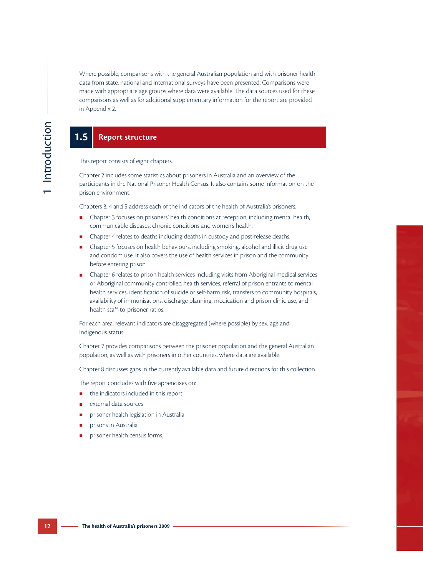Where possible, comparisons with the general Australian population and with prisoner health data from state, national and international surveys have been presented. Comparisons were made with appropriate age groups where data were available. The data sources used for these comparisons as well as for additional supplementary information for the report are provided in Appendix 2.

#### **1.5 Report structure**

This report consists of eight chapters.

Chapter 2 includes some statistics about prisoners in Australia and an overview of the participants in the National Prisoner Health Census. It also contains some information on the prison environment.

Chapters 3, 4 and 5 address each of the indicators of the health of Australia's prisoners:

- **•** Chapter 3 focuses on prisoners' health conditions at reception, including mental health, communicable diseases, chronic conditions and women's health.
- Chapter 4 relates to deaths including deaths in custody and post-release deaths.
- Chapter 5 focuses on health behaviours, including smoking, alcohol and illicit drug use and condom use. It also covers the use of health services in prison and the community before entering prison.
- Chapter 6 relates to prison health services including visits from Aboriginal medical services or Aboriginal community controlled health services, referral of prison entrants to mental health services, identification of suicide or self-harm risk, transfers to community hospitals, availability of immunisations, discharge planning, medication and prison clinic use, and health staff-to-prisoner ratios.

For each area, relevant indicators are disaggregated (where possible) by sex, age and Indigenous status.

Chapter 7 provides comparisons between the prisoner population and the general Australian population, as well as with prisoners in other countries, where data are available.

Chapter 8 discusses gaps in the currently available data and future directions for this collection.

The report concludes with five appendixes on:

- $\blacksquare$  the indicators included in this report
- external data sources
- prisoner health legislation in Australia
- prisons in Australia
- prisoner health census forms.